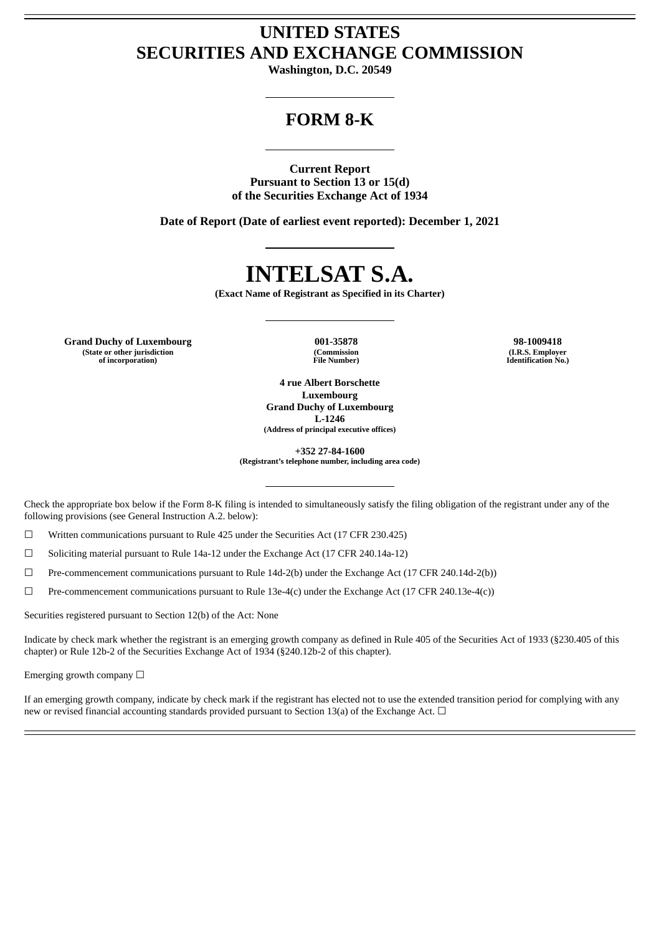## **UNITED STATES SECURITIES AND EXCHANGE COMMISSION**

**Washington, D.C. 20549**

### **FORM 8-K**

**Current Report Pursuant to Section 13 or 15(d) of the Securities Exchange Act of 1934**

**Date of Report (Date of earliest event reported): December 1, 2021**

# **INTELSAT S.A.**

**(Exact Name of Registrant as Specified in its Charter)**

**Grand Duchy of Luxembourg 001-35878 98-1009418 (State or other jurisdiction of incorporation)**

**(Commission File Number)**

**(I.R.S. Employer Identification No.)**

**4 rue Albert Borschette Luxembourg Grand Duchy of Luxembourg L-1246 (Address of principal executive offices)**

**+352 27-84-1600 (Registrant's telephone number, including area code)**

Check the appropriate box below if the Form 8-K filing is intended to simultaneously satisfy the filing obligation of the registrant under any of the following provisions (see General Instruction A.2. below):

☐ Written communications pursuant to Rule 425 under the Securities Act (17 CFR 230.425)

 $\Box$  Soliciting material pursuant to Rule 14a-12 under the Exchange Act (17 CFR 240.14a-12)

☐ Pre-commencement communications pursuant to Rule 14d-2(b) under the Exchange Act (17 CFR 240.14d-2(b))

 $\Box$  Pre-commencement communications pursuant to Rule 13e-4(c) under the Exchange Act (17 CFR 240.13e-4(c))

Securities registered pursuant to Section 12(b) of the Act: None

Indicate by check mark whether the registrant is an emerging growth company as defined in Rule 405 of the Securities Act of 1933 (§230.405 of this chapter) or Rule 12b-2 of the Securities Exchange Act of 1934 (§240.12b-2 of this chapter).

Emerging growth company  $\Box$ 

If an emerging growth company, indicate by check mark if the registrant has elected not to use the extended transition period for complying with any new or revised financial accounting standards provided pursuant to Section 13(a) of the Exchange Act.  $\Box$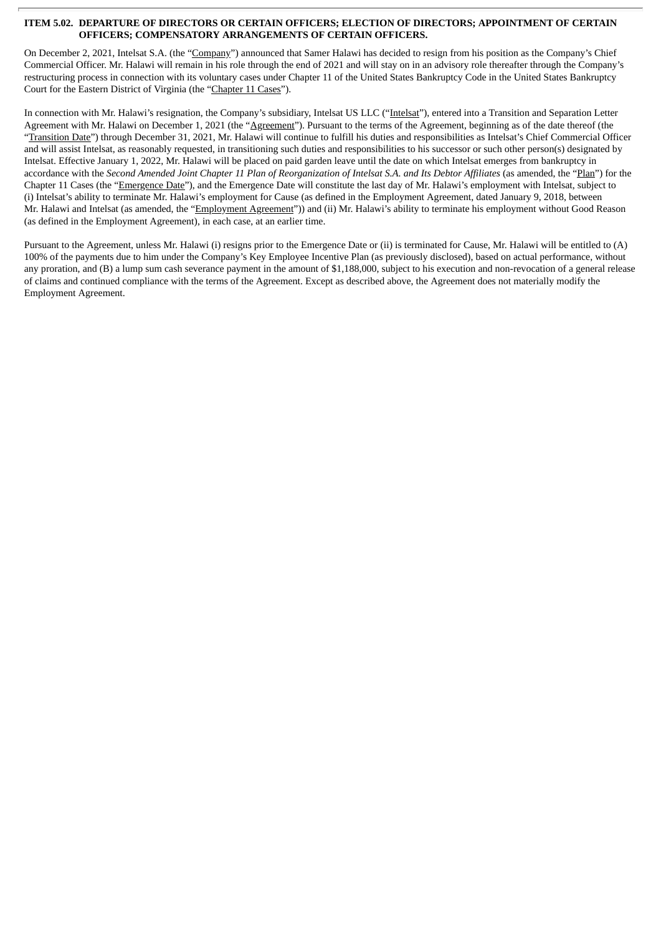#### **ITEM 5.02. DEPARTURE OF DIRECTORS OR CERTAIN OFFICERS; ELECTION OF DIRECTORS; APPOINTMENT OF CERTAIN OFFICERS; COMPENSATORY ARRANGEMENTS OF CERTAIN OFFICERS.**

On December 2, 2021, Intelsat S.A. (the "Company") announced that Samer Halawi has decided to resign from his position as the Company's Chief Commercial Officer. Mr. Halawi will remain in his role through the end of 2021 and will stay on in an advisory role thereafter through the Company's restructuring process in connection with its voluntary cases under Chapter 11 of the United States Bankruptcy Code in the United States Bankruptcy Court for the Eastern District of Virginia (the "Chapter 11 Cases").

In connection with Mr. Halawi's resignation, the Company's subsidiary, Intelsat US LLC ("Intelsat"), entered into a Transition and Separation Letter Agreement with Mr. Halawi on December 1, 2021 (the "Agreement"). Pursuant to the terms of the Agreement, beginning as of the date thereof (the "Transition Date") through December 31, 2021, Mr. Halawi will continue to fulfill his duties and responsibilities as Intelsat's Chief Commercial Officer and will assist Intelsat, as reasonably requested, in transitioning such duties and responsibilities to his successor or such other person(s) designated by Intelsat. Effective January 1, 2022, Mr. Halawi will be placed on paid garden leave until the date on which Intelsat emerges from bankruptcy in accordance with the Second Amended Joint Chapter 11 Plan of Reorganization of Intelsat S.A. and Its Debtor Affiliates (as amended, the "Plan") for the Chapter 11 Cases (the "Emergence Date"), and the Emergence Date will constitute the last day of Mr. Halawi's employment with Intelsat, subject to (i) Intelsat's ability to terminate Mr. Halawi's employment for Cause (as defined in the Employment Agreement, dated January 9, 2018, between Mr. Halawi and Intelsat (as amended, the "Employment Agreement")) and (ii) Mr. Halawi's ability to terminate his employment without Good Reason (as defined in the Employment Agreement), in each case, at an earlier time.

Pursuant to the Agreement, unless Mr. Halawi (i) resigns prior to the Emergence Date or (ii) is terminated for Cause, Mr. Halawi will be entitled to (A) 100% of the payments due to him under the Company's Key Employee Incentive Plan (as previously disclosed), based on actual performance, without any proration, and (B) a lump sum cash severance payment in the amount of \$1,188,000, subject to his execution and non-revocation of a general release of claims and continued compliance with the terms of the Agreement. Except as described above, the Agreement does not materially modify the Employment Agreement.